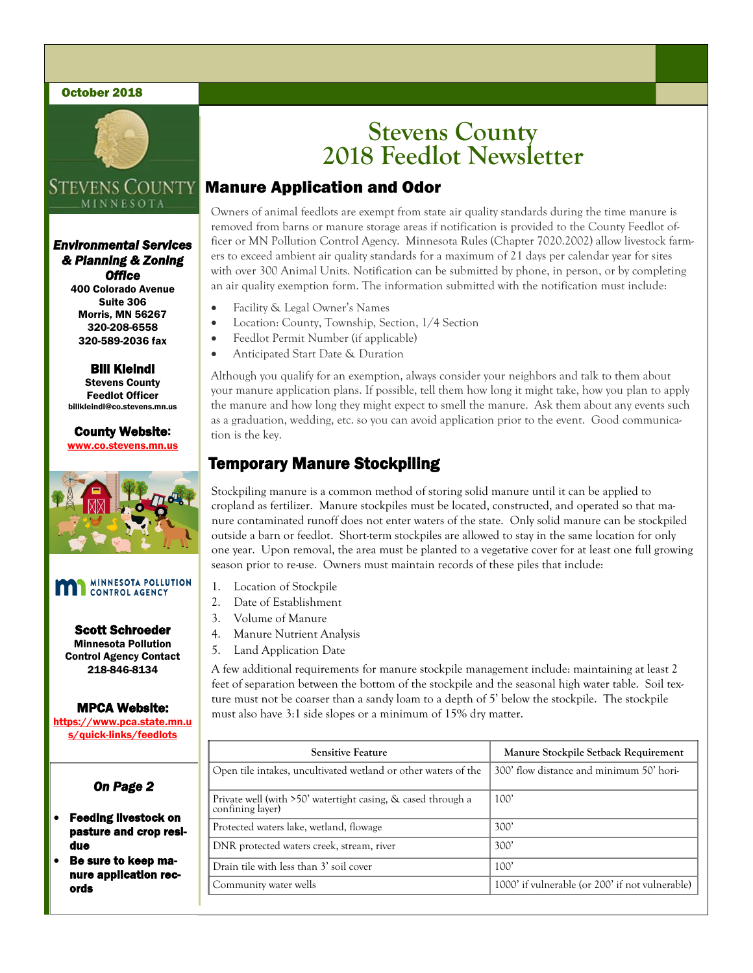#### October 2018



### Stevens County MINNESOT/

*Environmental Services & Planning & Zoning Office* 

400 Colorado Avenue Suite 306 Morris, MN 56267 320-208-6558 320-589-2036 fax

Bill Kleindl Stevens County Feedlot Officer billkleindl@co.stevens.mn.us

County Website: www.co.stevens.mn.us



#### MINNESOTA POLLUTION<br>CONTROL AGENCY m

Scott Schroeder Minnesota Pollution Control Agency Contact 218-846-8134

#### MPCA Website:

https://www.pca.state.mn.u s/quick-links/feedlots

## *On Page 2*

- Feeding livestock on pasture and crop residue
- Be sure to keep manure application records

# **Stevens County 2018 Feedlot Newsletter**

## Manure Application and Odor

Owners of animal feedlots are exempt from state air quality standards during the time manure is removed from barns or manure storage areas if notification is provided to the County Feedlot officer or MN Pollution Control Agency. Minnesota Rules (Chapter 7020.2002) allow livestock farmers to exceed ambient air quality standards for a maximum of 21 days per calendar year for sites with over 300 Animal Units. Notification can be submitted by phone, in person, or by completing an air quality exemption form. The information submitted with the notification must include:

- Facility & Legal Owner's Names
- Location: County, Township, Section, 1/4 Section
- Feedlot Permit Number (if applicable)
- Anticipated Start Date & Duration

Although you qualify for an exemption, always consider your neighbors and talk to them about your manure application plans. If possible, tell them how long it might take, how you plan to apply the manure and how long they might expect to smell the manure. Ask them about any events such as a graduation, wedding, etc. so you can avoid application prior to the event. Good communication is the key.

## Temporary Manure Stockpiling

Stockpiling manure is a common method of storing solid manure until it can be applied to cropland as fertilizer. Manure stockpiles must be located, constructed, and operated so that manure contaminated runoff does not enter waters of the state. Only solid manure can be stockpiled outside a barn or feedlot. Short-term stockpiles are allowed to stay in the same location for only one year. Upon removal, the area must be planted to a vegetative cover for at least one full growing season prior to re-use. Owners must maintain records of these piles that include:

- 1. Location of Stockpile
- 2. Date of Establishment
- 3. Volume of Manure
- 4. Manure Nutrient Analysis
- 5. Land Application Date

A few additional requirements for manure stockpile management include: maintaining at least 2 feet of separation between the bottom of the stockpile and the seasonal high water table. Soil texture must not be coarser than a sandy loam to a depth of 5' below the stockpile. The stockpile must also have 3:1 side slopes or a minimum of 15% dry matter.

|  | <b>Sensitive Feature</b>                                                         | Manure Stockpile Setback Requirement            |
|--|----------------------------------------------------------------------------------|-------------------------------------------------|
|  | Open tile intakes, uncultivated wetland or other waters of the                   | 300' flow distance and minimum 50' hori-        |
|  | Private well (with >50' watertight casing, & cased through a<br>confining layer) | 100'                                            |
|  | Protected waters lake, wetland, flowage                                          | 300'                                            |
|  | DNR protected waters creek, stream, river                                        | 300'                                            |
|  | Drain tile with less than 3' soil cover                                          | 100'                                            |
|  | Community water wells                                                            | 1000' if vulnerable (or 200' if not vulnerable) |
|  |                                                                                  |                                                 |